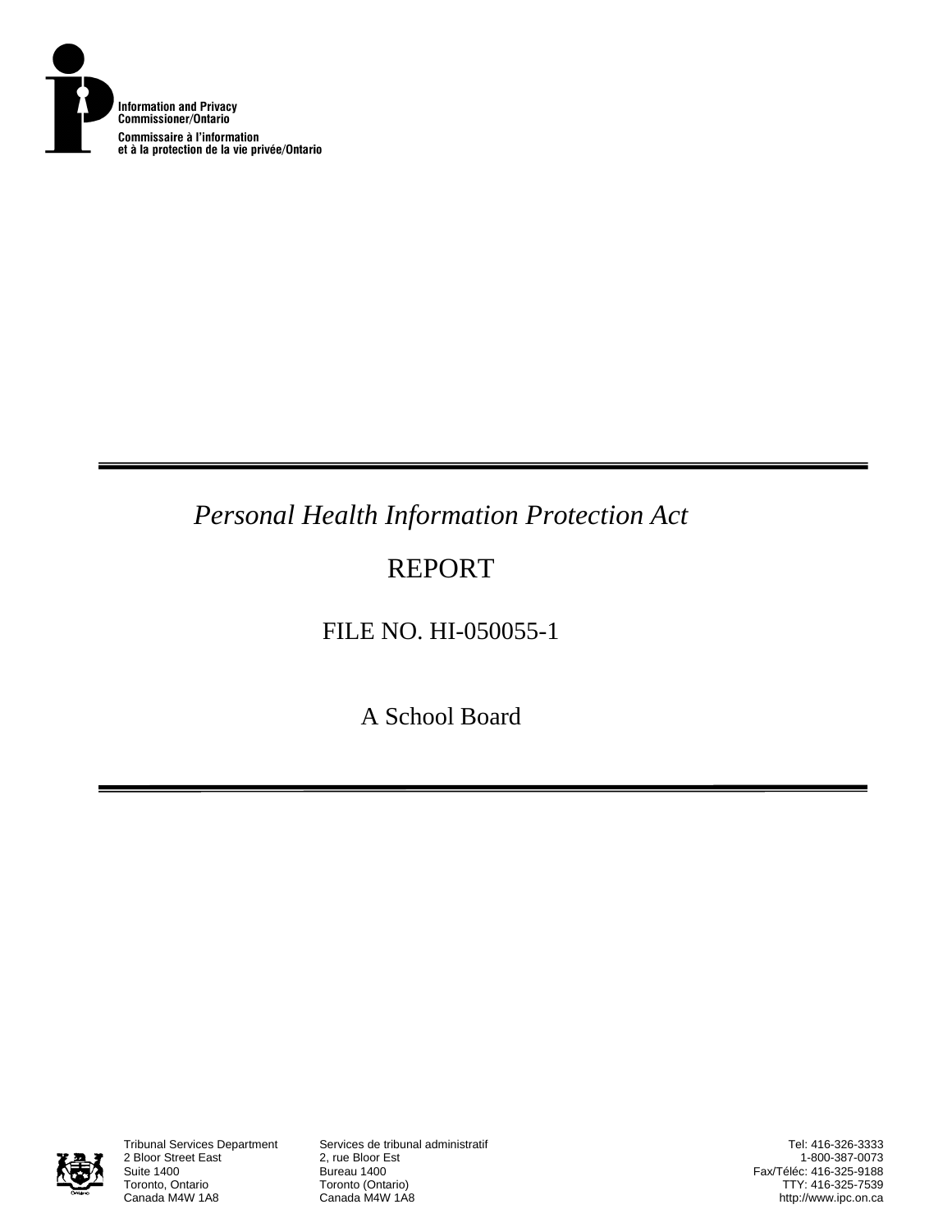

# *Personal Health Information Protection Act*

# REPORT

FILE NO. HI-050055-1

A School Board



2 Bloor Street East<br>Suite 1400 Suite 1400<br>
Toronto, Ontario<br>
Toronto (Onta Toronto, Ontario **Toronto (Ontario)**<br>Canada M4W 1A8 **Canada M4W 1A8** 

Tribunal Services Department Services de tribunal administratif

Tel: 416-326-3333 1-800-387-0073 Fax/Téléc: 416-325-9188 TTY: 416-325-7539 http://www.ipc.on.ca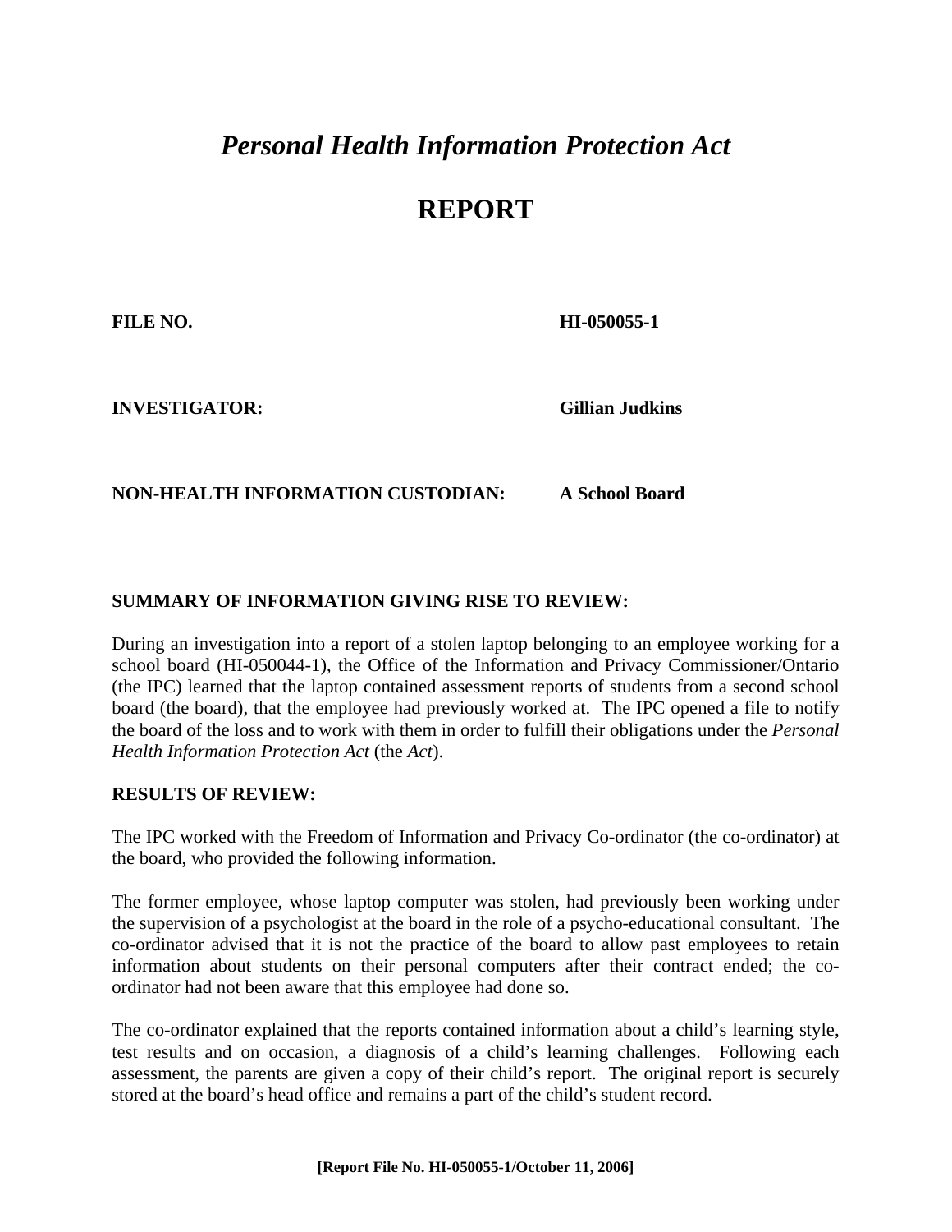## *Personal Health Information Protection Act*

### **REPORT**

**FILE NO. HI-050055-1** 

**INVESTIGATOR: Gillian Judkins**

### **NON-HEALTH INFORMATION CUSTODIAN: A School Board**

#### **SUMMARY OF INFORMATION GIVING RISE TO REVIEW:**

During an investigation into a report of a stolen laptop belonging to an employee working for a school board (HI-050044-1), the Office of the Information and Privacy Commissioner/Ontario (the IPC) learned that the laptop contained assessment reports of students from a second school board (the board), that the employee had previously worked at. The IPC opened a file to notify the board of the loss and to work with them in order to fulfill their obligations under the *Personal Health Information Protection Act* (the *Act*).

#### **RESULTS OF REVIEW:**

The IPC worked with the Freedom of Information and Privacy Co-ordinator (the co-ordinator) at the board, who provided the following information.

The former employee, whose laptop computer was stolen, had previously been working under the supervision of a psychologist at the board in the role of a psycho-educational consultant. The co-ordinator advised that it is not the practice of the board to allow past employees to retain information about students on their personal computers after their contract ended; the coordinator had not been aware that this employee had done so.

The co-ordinator explained that the reports contained information about a child's learning style, test results and on occasion, a diagnosis of a child's learning challenges. Following each assessment, the parents are given a copy of their child's report. The original report is securely stored at the board's head office and remains a part of the child's student record.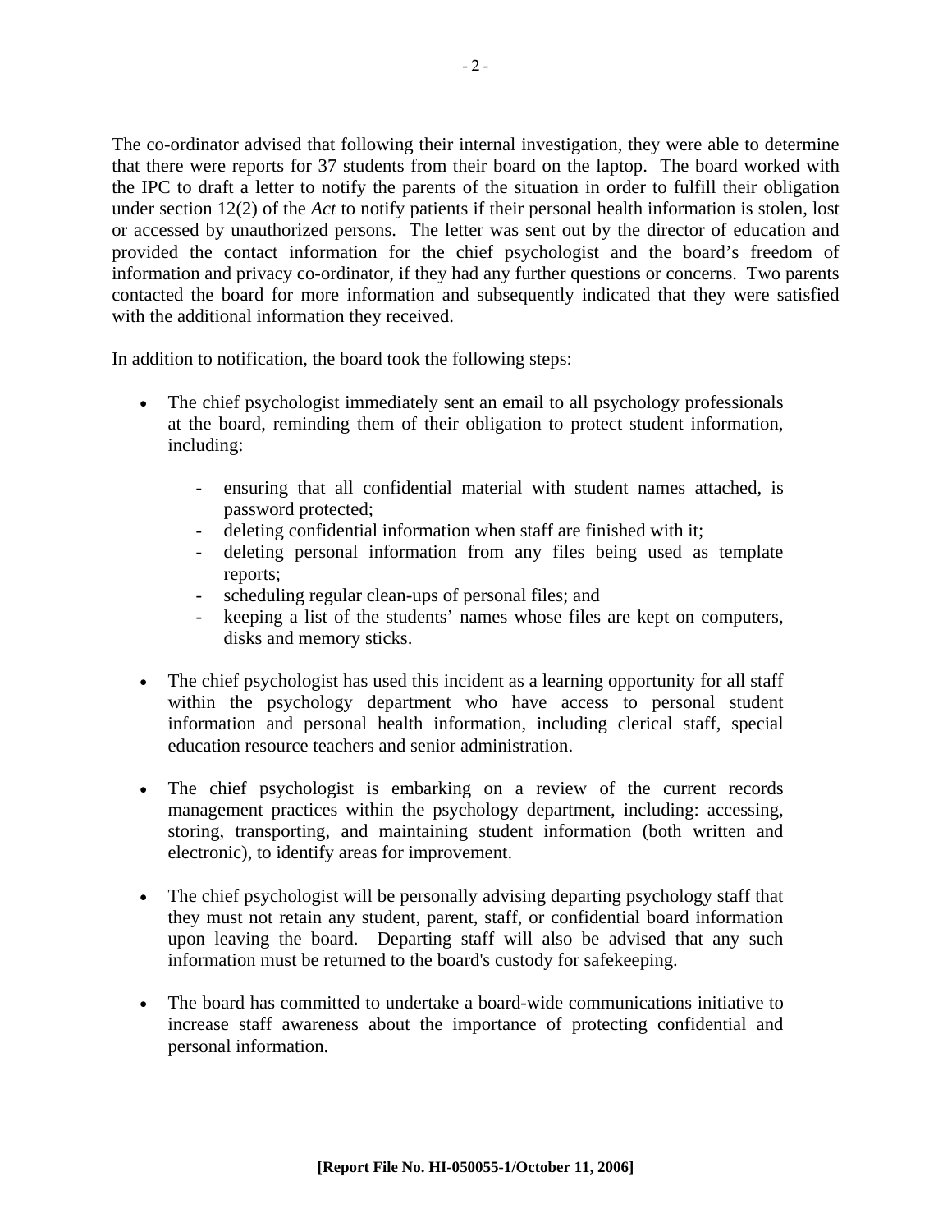The co-ordinator advised that following their internal investigation, they were able to determine that there were reports for 37 students from their board on the laptop. The board worked with the IPC to draft a letter to notify the parents of the situation in order to fulfill their obligation under section 12(2) of the *Act* to notify patients if their personal health information is stolen, lost or accessed by unauthorized persons. The letter was sent out by the director of education and provided the contact information for the chief psychologist and the board's freedom of information and privacy co-ordinator, if they had any further questions or concerns. Two parents contacted the board for more information and subsequently indicated that they were satisfied with the additional information they received.

In addition to notification, the board took the following steps:

- The chief psychologist immediately sent an email to all psychology professionals at the board, reminding them of their obligation to protect student information, including:
	- ensuring that all confidential material with student names attached, is password protected;
	- deleting confidential information when staff are finished with it;
	- deleting personal information from any files being used as template reports;
	- scheduling regular clean-ups of personal files; and
	- keeping a list of the students' names whose files are kept on computers, disks and memory sticks.
- The chief psychologist has used this incident as a learning opportunity for all staff within the psychology department who have access to personal student information and personal health information, including clerical staff, special education resource teachers and senior administration.
- The chief psychologist is embarking on a review of the current records management practices within the psychology department, including: accessing, storing, transporting, and maintaining student information (both written and electronic), to identify areas for improvement.
- The chief psychologist will be personally advising departing psychology staff that they must not retain any student, parent, staff, or confidential board information upon leaving the board. Departing staff will also be advised that any such information must be returned to the board's custody for safekeeping.
- The board has committed to undertake a board-wide communications initiative to increase staff awareness about the importance of protecting confidential and personal information.